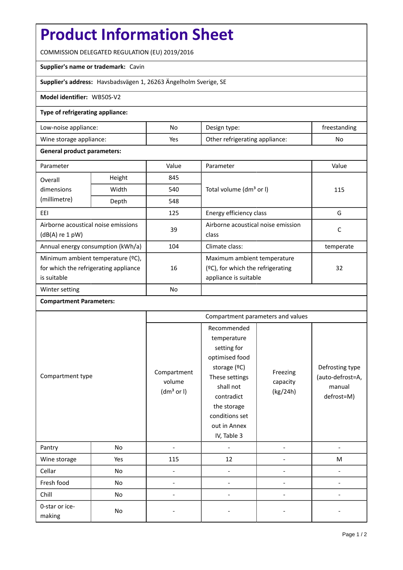# **Product Information Sheet**

COMMISSION DELEGATED REGULATION (EU) 2019/2016

## **Supplier's name or trademark:** Cavin

**Supplier's address:** Havsbadsvägen 1, 26263 Ängelholm Sverige, SE

### **Model identifier:** WB50S-V2

### **Type of refrigerating appliance:**

| Low-noise appliance:    | No  | Design type:                   | treestanding |
|-------------------------|-----|--------------------------------|--------------|
| Wine storage appliance: | Yes | Other refrigerating appliance: | No           |

#### **General product parameters:**

| Parameter                             |               | Value     | Parameter                            | Value     |  |
|---------------------------------------|---------------|-----------|--------------------------------------|-----------|--|
| Overall                               | Height<br>845 |           |                                      |           |  |
| dimensions                            | Width         | 540       | Total volume (dm <sup>3</sup> or I)  | 115       |  |
| (millimetre)                          | Depth         | 548       |                                      |           |  |
| EEI                                   |               | 125       | Energy efficiency class              | G         |  |
| Airborne acoustical noise emissions   |               | 39        | Airborne acoustical noise emission   | C         |  |
| $(dB(A)$ re 1 pW)                     |               |           | class                                |           |  |
| Annual energy consumption (kWh/a)     |               | 104       | Climate class:                       | temperate |  |
| Minimum ambient temperature (°C),     |               |           | Maximum ambient temperature          |           |  |
| for which the refrigerating appliance |               | 16        | $(2C)$ , for which the refrigerating | 32        |  |
| is suitable                           |               |           | appliance is suitable                |           |  |
| Winter setting                        |               | <b>No</b> |                                      |           |  |

## **Compartment Parameters:**

| Compartment type         |     | Compartment parameters and values               |                                                                                                                                                                                          |                                  |                                                             |
|--------------------------|-----|-------------------------------------------------|------------------------------------------------------------------------------------------------------------------------------------------------------------------------------------------|----------------------------------|-------------------------------------------------------------|
|                          |     | Compartment<br>volume<br>(dm <sup>3</sup> or I) | Recommended<br>temperature<br>setting for<br>optimised food<br>storage (°C)<br>These settings<br>shall not<br>contradict<br>the storage<br>conditions set<br>out in Annex<br>IV, Table 3 | Freezing<br>capacity<br>(kg/24h) | Defrosting type<br>(auto-defrost=A,<br>manual<br>defrost=M) |
| Pantry                   | No  |                                                 |                                                                                                                                                                                          |                                  |                                                             |
| Wine storage             | Yes | 115                                             | 12                                                                                                                                                                                       |                                  | M                                                           |
| Cellar                   | No  |                                                 |                                                                                                                                                                                          |                                  |                                                             |
| Fresh food               | No  |                                                 |                                                                                                                                                                                          |                                  |                                                             |
| Chill                    | No  |                                                 |                                                                                                                                                                                          |                                  |                                                             |
| 0-star or ice-<br>making | No  |                                                 |                                                                                                                                                                                          |                                  |                                                             |